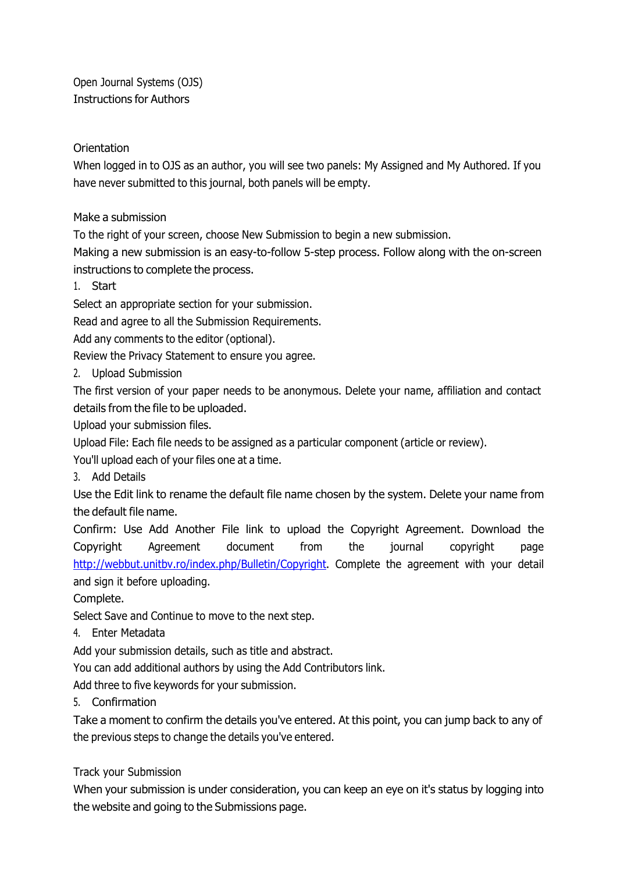Open Journal Systems (OJS) Instructions for Authors

## **Orientation**

When logged in to OJS as an author, you will see two panels: My Assigned and My Authored. If you have never submitted to this journal, both panels will be empty.

Make a submission

To the right of your screen, choose New Submission to begin a new submission.

Making a new submission is an easy-to-follow 5-step process. Follow along with the on-screen instructions to complete the process.

1. Start

Select an appropriate section for your submission.

Read and agree to all the Submission Requirements.

Add any comments to the editor (optional).

Review the Privacy Statement to ensure you agree.

2. Upload Submission

The first version of your paper needs to be anonymous. Delete your name, affiliation and contact details from the file to be uploaded.

Upload your submission files.

Upload File: Each file needs to be assigned as a particular component (article or review).

You'll upload each of your files one at a time.

3. Add Details

Use the Edit link to rename the default file name chosen by the system. Delete your name from the default file name.

Confirm: Use Add Another File link to upload the Copyright Agreement. Download the Copyright Agreement document from the journal copyright page http://webbut.unitbv.ro/index.php/Bulletin/Copyright. Complete the agreement with your detail and sign it before uploading.

Complete.

Select Save and Continue to move to the next step.

4. Enter Metadata

Add your submission details, such as title and abstract.

You can add additional authors by using the Add Contributors link.

Add three to five keywords for your submission.

5. Confirmation

Take a moment to confirm the details you've entered. At this point, you can jump back to any of the previous steps to change the details you've entered.

## Track your Submission

When your submission is under consideration, you can keep an eye on it's status by logging into the website and going to the Submissions page.